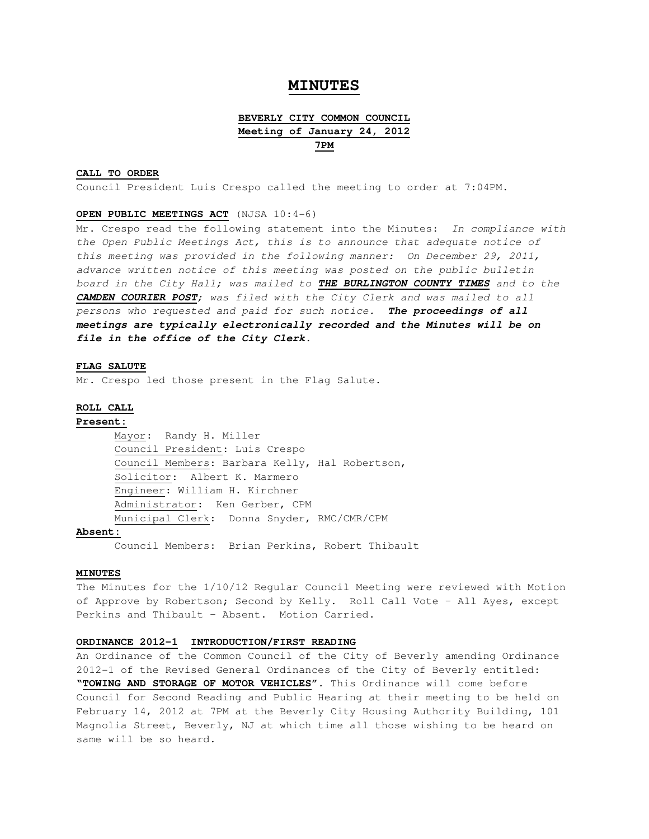# **MINUTES**

# **BEVERLY CITY COMMON COUNCIL Meeting of January 24, 2012 7PM**

## **CALL TO ORDER**

Council President Luis Crespo called the meeting to order at 7:04PM.

## **OPEN PUBLIC MEETINGS ACT** (NJSA 10:4-6)

Mr. Crespo read the following statement into the Minutes: In compliance with the Open Public Meetings Act, this is to announce that adequate notice of this meeting was provided in the following manner: On December 29, 2011, advance written notice of this meeting was posted on the public bulletin board in the City Hall; was mailed to **THE BURLINGTON COUNTY TIMES** and to the **CAMDEN COURIER POST**; was filed with the City Clerk and was mailed to all persons who requested and paid for such notice. **The proceedings of all meetings are typically electronically recorded and the Minutes will be on file in the office of the City Clerk.** 

## **FLAG SALUTE**

Mr. Crespo led those present in the Flag Salute.

## **ROLL CALL**

## **Present:**

Mayor: Randy H. Miller Council President: Luis Crespo Council Members: Barbara Kelly, Hal Robertson, Solicitor: Albert K. Marmero Engineer: William H. Kirchner Administrator: Ken Gerber, CPM Municipal Clerk: Donna Snyder, RMC/CMR/CPM

## **Absent:**

Council Members: Brian Perkins, Robert Thibault

## **MINUTES**

The Minutes for the 1/10/12 Regular Council Meeting were reviewed with Motion of Approve by Robertson; Second by Kelly. Roll Call Vote – All Ayes, except Perkins and Thibault – Absent. Motion Carried.

# **ORDINANCE 2012-1 INTRODUCTION/FIRST READING**

An Ordinance of the Common Council of the City of Beverly amending Ordinance 2012-1 of the Revised General Ordinances of the City of Beverly entitled: **"TOWING AND STORAGE OF MOTOR VEHICLES".** This Ordinance will come before Council for Second Reading and Public Hearing at their meeting to be held on February 14, 2012 at 7PM at the Beverly City Housing Authority Building, 101 Magnolia Street, Beverly, NJ at which time all those wishing to be heard on same will be so heard.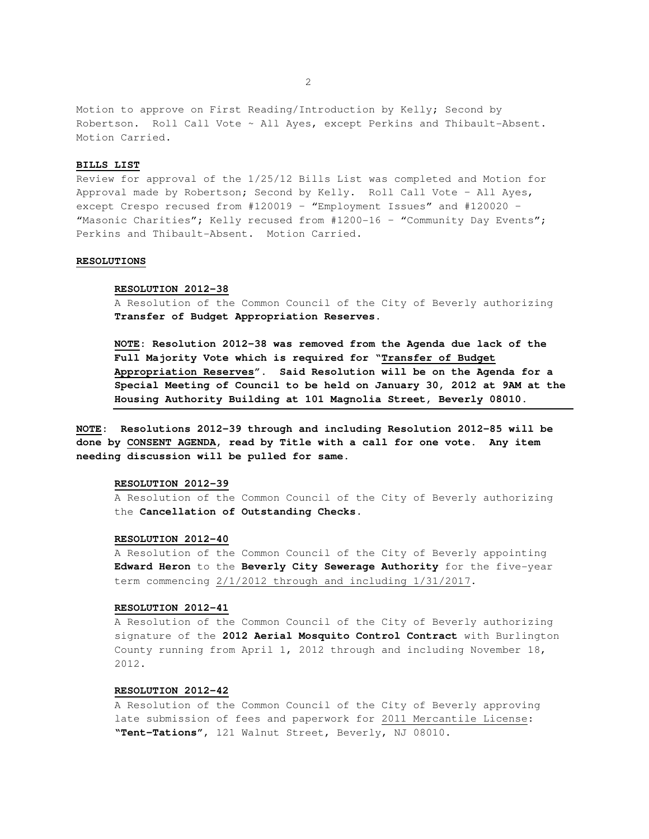Motion to approve on First Reading/Introduction by Kelly; Second by Robertson. Roll Call Vote ~ All Ayes, except Perkins and Thibault-Absent. Motion Carried.

### **BILLS LIST**

Review for approval of the 1/25/12 Bills List was completed and Motion for Approval made by Robertson; Second by Kelly. Roll Call Vote – All Ayes, except Crespo recused from #120019 – "Employment Issues" and #120020 – "Masonic Charities"; Kelly recused from #1200-16 - "Community Day Events"; Perkins and Thibault-Absent. Motion Carried.

# **RESOLUTIONS**

#### **RESOLUTION 2012-38**

A Resolution of the Common Council of the City of Beverly authorizing **Transfer of Budget Appropriation Reserves**.

**NOTE: Resolution 2012-38 was removed from the Agenda due lack of the Full Majority Vote which is required for "Transfer of Budget Appropriation Reserves". Said Resolution will be on the Agenda for a Special Meeting of Council to be held on January 30, 2012 at 9AM at the Housing Authority Building at 101 Magnolia Street, Beverly 08010.** 

**NOTE: Resolutions 2012-39 through and including Resolution 2012-85 will be done by CONSENT AGENDA, read by Title with a call for one vote. Any item needing discussion will be pulled for same.** 

## **RESOLUTION 2012-39**

A Resolution of the Common Council of the City of Beverly authorizing the **Cancellation of Outstanding Checks**.

### **RESOLUTION 2012-40**

A Resolution of the Common Council of the City of Beverly appointing **Edward Heron** to the **Beverly City Sewerage Authority** for the five-year term commencing 2/1/2012 through and including 1/31/2017.

### **RESOLUTION 2012-41**

A Resolution of the Common Council of the City of Beverly authorizing signature of the **2012 Aerial Mosquito Control Contract** with Burlington County running from April 1, 2012 through and including November 18, 2012.

### **RESOLUTION 2012-42**

A Resolution of the Common Council of the City of Beverly approving late submission of fees and paperwork for 2011 Mercantile License: **"Tent-Tations"**, 121 Walnut Street, Beverly, NJ 08010.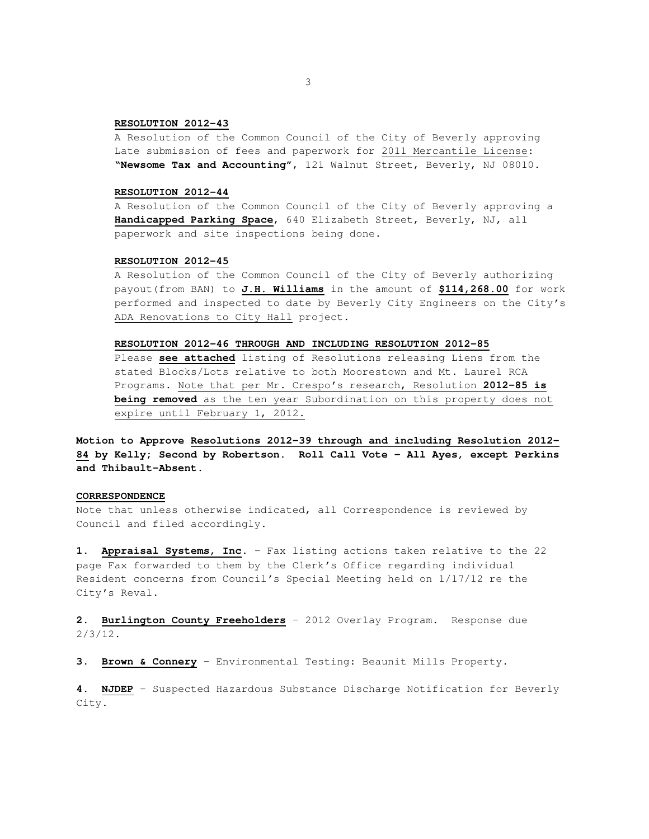## **RESOLUTION 2012-43**

A Resolution of the Common Council of the City of Beverly approving Late submission of fees and paperwork for 2011 Mercantile License: **"Newsome Tax and Accounting"**, 121 Walnut Street, Beverly, NJ 08010.

## **RESOLUTION 2012-44**

A Resolution of the Common Council of the City of Beverly approving a **Handicapped Parking Space**, 640 Elizabeth Street, Beverly, NJ, all paperwork and site inspections being done.

# **RESOLUTION 2012-45**

A Resolution of the Common Council of the City of Beverly authorizing payout(from BAN) to **J.H. Williams** in the amount of **\$114,268.00** for work performed and inspected to date by Beverly City Engineers on the City's ADA Renovations to City Hall project.

## **RESOLUTION 2012-46 THROUGH AND INCLUDING RESOLUTION 2012-85**

Please **see attached** listing of Resolutions releasing Liens from the stated Blocks/Lots relative to both Moorestown and Mt. Laurel RCA Programs. Note that per Mr. Crespo's research, Resolution **2012-85 is being removed** as the ten year Subordination on this property does not expire until February 1, 2012.

**Motion to Approve Resolutions 2012-39 through and including Resolution 2012- 84 by Kelly; Second by Robertson. Roll Call Vote – All Ayes, except Perkins and Thibault-Absent.** 

## **CORRESPONDENCE**

Note that unless otherwise indicated, all Correspondence is reviewed by Council and filed accordingly.

**1. Appraisal Systems, Inc.** – Fax listing actions taken relative to the 22 page Fax forwarded to them by the Clerk's Office regarding individual Resident concerns from Council's Special Meeting held on 1/17/12 re the City's Reval.

**2. Burlington County Freeholders** – 2012 Overlay Program. Response due 2/3/12.

**3. Brown & Connery** – Environmental Testing: Beaunit Mills Property.

**4. NJDEP** – Suspected Hazardous Substance Discharge Notification for Beverly City.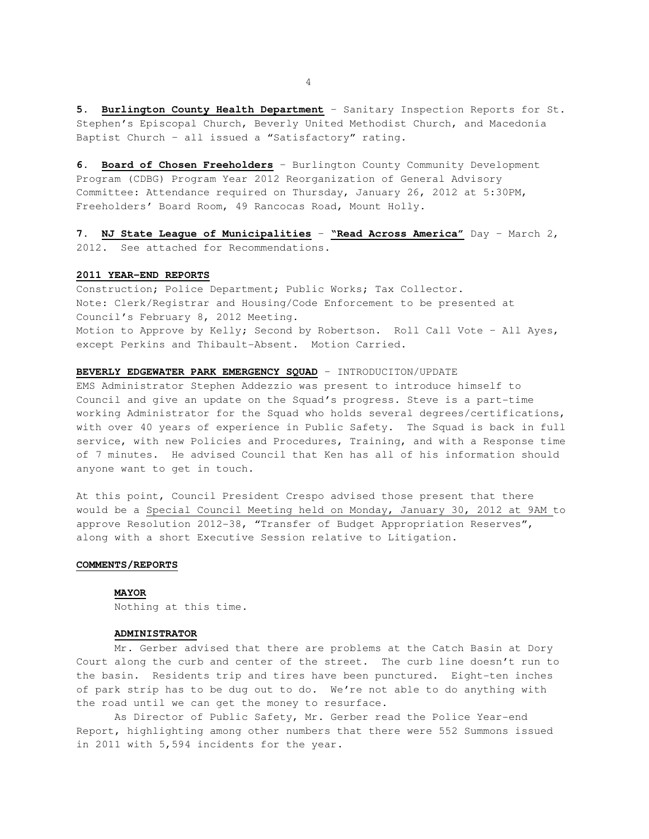**5. Burlington County Health Department** – Sanitary Inspection Reports for St. Stephen's Episcopal Church, Beverly United Methodist Church, and Macedonia Baptist Church – all issued a "Satisfactory" rating.

**6. Board of Chosen Freeholders** – Burlington County Community Development Program (CDBG) Program Year 2012 Reorganization of General Advisory Committee: Attendance required on Thursday, January 26, 2012 at 5:30PM, Freeholders' Board Room, 49 Rancocas Road, Mount Holly.

**7. NJ State League of Municipalities** – **"Read Across America"** Day – March 2, 2012. See attached for Recommendations.

### **2011 YEAR-END REPORTS**

Construction; Police Department; Public Works; Tax Collector. Note: Clerk/Registrar and Housing/Code Enforcement to be presented at Council's February 8, 2012 Meeting. Motion to Approve by Kelly; Second by Robertson. Roll Call Vote – All Ayes, except Perkins and Thibault-Absent. Motion Carried.

## **BEVERLY EDGEWATER PARK EMERGENCY SQUAD** – INTRODUCITON/UPDATE

EMS Administrator Stephen Addezzio was present to introduce himself to Council and give an update on the Squad's progress. Steve is a part-time working Administrator for the Squad who holds several degrees/certifications, with over 40 years of experience in Public Safety. The Squad is back in full service, with new Policies and Procedures, Training, and with a Response time of 7 minutes. He advised Council that Ken has all of his information should anyone want to get in touch.

At this point, Council President Crespo advised those present that there would be a Special Council Meeting held on Monday, January 30, 2012 at 9AM to approve Resolution 2012-38, "Transfer of Budget Appropriation Reserves", along with a short Executive Session relative to Litigation.

### **COMMENTS/REPORTS**

**MAYOR**  Nothing at this time.

### **ADMINISTRATOR**

 Mr. Gerber advised that there are problems at the Catch Basin at Dory Court along the curb and center of the street. The curb line doesn't run to the basin. Residents trip and tires have been punctured. Eight-ten inches of park strip has to be dug out to do. We're not able to do anything with the road until we can get the money to resurface.

 As Director of Public Safety, Mr. Gerber read the Police Year-end Report, highlighting among other numbers that there were 552 Summons issued in 2011 with 5,594 incidents for the year.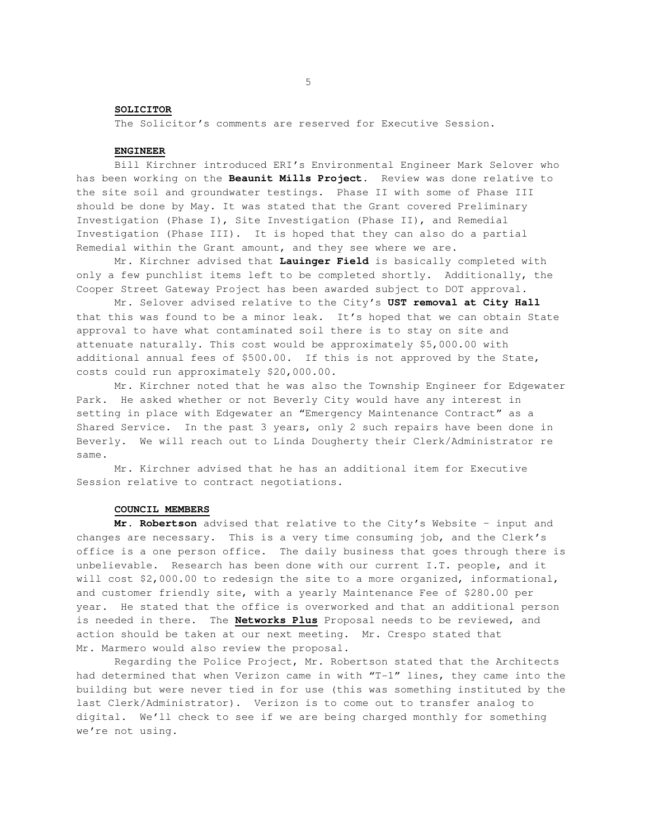## **SOLICITOR**

The Solicitor's comments are reserved for Executive Session.

## **ENGINEER**

 Bill Kirchner introduced ERI's Environmental Engineer Mark Selover who has been working on the **Beaunit Mills Project**. Review was done relative to the site soil and groundwater testings. Phase II with some of Phase III should be done by May. It was stated that the Grant covered Preliminary Investigation (Phase I), Site Investigation (Phase II), and Remedial Investigation (Phase III). It is hoped that they can also do a partial Remedial within the Grant amount, and they see where we are.

 Mr. Kirchner advised that **Lauinger Field** is basically completed with only a few punchlist items left to be completed shortly. Additionally, the Cooper Street Gateway Project has been awarded subject to DOT approval.

 Mr. Selover advised relative to the City's **UST removal at City Hall** that this was found to be a minor leak. It's hoped that we can obtain State approval to have what contaminated soil there is to stay on site and attenuate naturally. This cost would be approximately \$5,000.00 with additional annual fees of \$500.00. If this is not approved by the State, costs could run approximately \$20,000.00.

 Mr. Kirchner noted that he was also the Township Engineer for Edgewater Park. He asked whether or not Beverly City would have any interest in setting in place with Edgewater an "Emergency Maintenance Contract" as a Shared Service. In the past 3 years, only 2 such repairs have been done in Beverly. We will reach out to Linda Dougherty their Clerk/Administrator re same.

 Mr. Kirchner advised that he has an additional item for Executive Session relative to contract negotiations.

### **COUNCIL MEMBERS**

**Mr. Robertson** advised that relative to the City's Website – input and changes are necessary. This is a very time consuming job, and the Clerk's office is a one person office. The daily business that goes through there is unbelievable. Research has been done with our current I.T. people, and it will cost \$2,000.00 to redesign the site to a more organized, informational, and customer friendly site, with a yearly Maintenance Fee of \$280.00 per year. He stated that the office is overworked and that an additional person is needed in there. The **Networks Plus** Proposal needs to be reviewed, and action should be taken at our next meeting. Mr. Crespo stated that Mr. Marmero would also review the proposal.

Regarding the Police Project, Mr. Robertson stated that the Architects had determined that when Verizon came in with "T-1" lines, they came into the building but were never tied in for use (this was something instituted by the last Clerk/Administrator). Verizon is to come out to transfer analog to digital. We'll check to see if we are being charged monthly for something we're not using.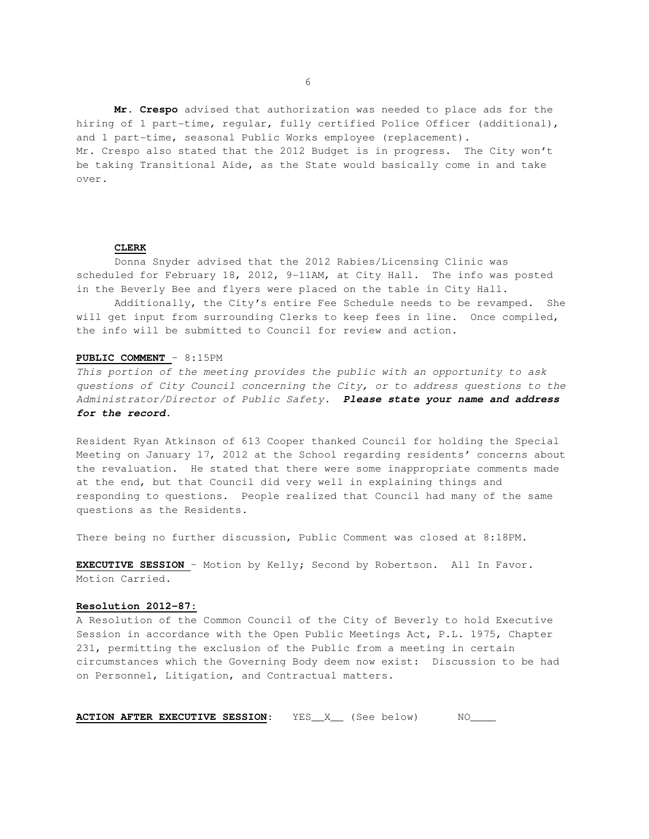**Mr. Crespo** advised that authorization was needed to place ads for the hiring of 1 part-time, regular, fully certified Police Officer (additional), and 1 part-time, seasonal Public Works employee (replacement). Mr. Crespo also stated that the 2012 Budget is in progress. The City won't be taking Transitional Aide, as the State would basically come in and take over.

### **CLERK**

Donna Snyder advised that the 2012 Rabies/Licensing Clinic was scheduled for February 18, 2012, 9-11AM, at City Hall. The info was posted in the Beverly Bee and flyers were placed on the table in City Hall.

Additionally, the City's entire Fee Schedule needs to be revamped. She will get input from surrounding Clerks to keep fees in line. Once compiled, the info will be submitted to Council for review and action.

### **PUBLIC COMMENT** – 8:15PM

This portion of the meeting provides the public with an opportunity to ask questions of City Council concerning the City, or to address questions to the Administrator/Director of Public Safety. **Please state your name and address for the record.** 

Resident Ryan Atkinson of 613 Cooper thanked Council for holding the Special Meeting on January 17, 2012 at the School regarding residents' concerns about the revaluation. He stated that there were some inappropriate comments made at the end, but that Council did very well in explaining things and responding to questions. People realized that Council had many of the same questions as the Residents.

There being no further discussion, Public Comment was closed at 8:18PM.

**EXECUTIVE SESSION** – Motion by Kelly; Second by Robertson. All In Favor. Motion Carried.

## **Resolution 2012-87:**

A Resolution of the Common Council of the City of Beverly to hold Executive Session in accordance with the Open Public Meetings Act, P.L. 1975, Chapter 231, permitting the exclusion of the Public from a meeting in certain circumstances which the Governing Body deem now exist: Discussion to be had on Personnel, Litigation, and Contractual matters.

**ACTION AFTER EXECUTIVE SESSION:** YES\_X\_ (See below) NO\_\_\_